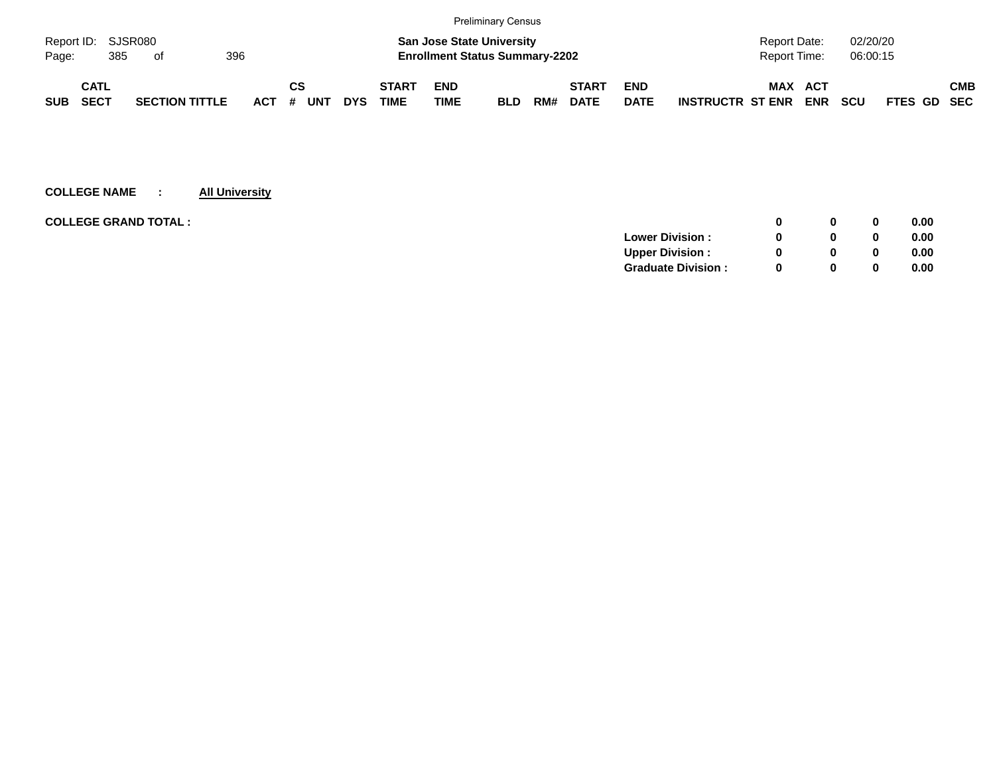|                           |      |  |                       |  |            |    |     |            |                                       |                                  | <b>Preliminary Census</b> |     |              |             |                         |                |            |            |                    |            |
|---------------------------|------|--|-----------------------|--|------------|----|-----|------------|---------------------------------------|----------------------------------|---------------------------|-----|--------------|-------------|-------------------------|----------------|------------|------------|--------------------|------------|
| Report ID: SJSR080        |      |  |                       |  |            |    |     |            |                                       | <b>San Jose State University</b> |                           |     |              |             |                         | Report Date:   |            | 02/20/20   |                    |            |
| 396<br>385<br>Page:<br>of |      |  |                       |  |            |    |     |            | <b>Enrollment Status Summary-2202</b> |                                  |                           |     |              |             | Report Time:            |                | 06:00:15   |            |                    |            |
|                           | CATL |  |                       |  |            | СS |     |            | <b>START</b>                          | <b>END</b>                       |                           |     | <b>START</b> | <b>END</b>  |                         | <b>MAX ACT</b> |            |            |                    | <b>CMB</b> |
| <b>SUB</b>                | SECT |  | <b>SECTION TITTLE</b> |  | <b>ACT</b> | #  | UNT | <b>DYS</b> | <b>TIME</b>                           | <b>TIME</b>                      | <b>BLD</b>                | RM# | <b>DATE</b>  | <b>DATE</b> | <b>INSTRUCTR ST ENR</b> |                | <b>ENR</b> | <b>SCU</b> | <b>FTES GD SEC</b> |            |

| <b>COLLEGE GRAND TOTAL :</b><br>0              | 0.00 |
|------------------------------------------------|------|
| <b>Lower Division:</b><br>0                    | 0.00 |
| <b>Upper Division:</b><br><sup>0</sup><br>0    | 0.00 |
| <b>Graduate Division:</b><br><sup>0</sup><br>0 | 0.00 |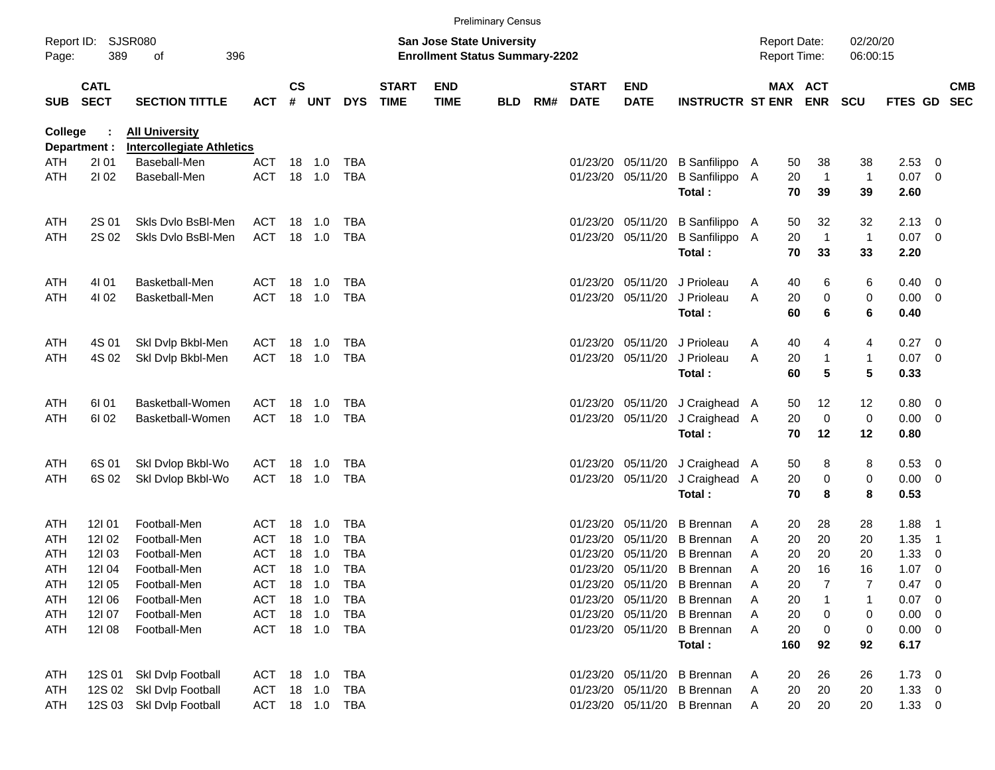|            |                            |                                                           |                |               |         |              |                             |                                                                           | <b>Preliminary Census</b> |     |                             |                           |                             |                                            |                              |                      |              |                |                          |
|------------|----------------------------|-----------------------------------------------------------|----------------|---------------|---------|--------------|-----------------------------|---------------------------------------------------------------------------|---------------------------|-----|-----------------------------|---------------------------|-----------------------------|--------------------------------------------|------------------------------|----------------------|--------------|----------------|--------------------------|
| Page:      | Report ID: SJSR080<br>389  | 396<br>οf                                                 |                |               |         |              |                             | <b>San Jose State University</b><br><b>Enrollment Status Summary-2202</b> |                           |     |                             |                           |                             | <b>Report Date:</b><br><b>Report Time:</b> |                              | 02/20/20<br>06:00:15 |              |                |                          |
| <b>SUB</b> | <b>CATL</b><br><b>SECT</b> | <b>SECTION TITTLE</b>                                     | <b>ACT</b>     | $\mathsf{cs}$ | # UNT   | <b>DYS</b>   | <b>START</b><br><b>TIME</b> | <b>END</b><br><b>TIME</b>                                                 | <b>BLD</b>                | RM# | <b>START</b><br><b>DATE</b> | <b>END</b><br><b>DATE</b> | <b>INSTRUCTR ST ENR</b>     |                                            | <b>MAX ACT</b><br><b>ENR</b> | <b>SCU</b>           | FTES GD      |                | <b>CMB</b><br><b>SEC</b> |
| College    | Department :               | <b>All University</b><br><b>Intercollegiate Athletics</b> |                |               |         |              |                             |                                                                           |                           |     |                             |                           |                             |                                            |                              |                      |              |                |                          |
| ATH        | 2101                       | Baseball-Men                                              | <b>ACT</b>     |               | 18 1.0  | <b>TBA</b>   |                             |                                                                           |                           |     | 01/23/20                    | 05/11/20                  | B Sanfilippo A              |                                            | 38<br>50                     | 38                   | 2.53         | 0              |                          |
| ATH        | 2102                       | Baseball-Men                                              | <b>ACT</b>     |               | 18 1.0  | <b>TBA</b>   |                             |                                                                           |                           |     | 01/23/20                    | 05/11/20                  | B Sanfilippo A<br>Total:    | 20                                         | $\overline{1}$<br>70<br>39   | $\mathbf{1}$<br>39   | 0.07<br>2.60 | 0              |                          |
| ATH        | 2S 01                      | Skls Dvlo BsBI-Men                                        | ACT            |               | 18 1.0  | TBA          |                             |                                                                           |                           |     | 01/23/20                    | 05/11/20                  | B Sanfilippo A              |                                            | 32<br>50                     | 32                   | 2.13         | 0              |                          |
| ATH        | 2S 02                      | Skls Dvlo BsBI-Men                                        | <b>ACT</b>     |               | 18 1.0  | <b>TBA</b>   |                             |                                                                           |                           |     | 01/23/20                    | 05/11/20                  | B Sanfilippo A<br>Total:    | 20                                         | $\overline{1}$<br>70<br>33   | $\overline{1}$<br>33 | 0.07<br>2.20 | 0              |                          |
| ATH        | 4101                       | Basketball-Men                                            | ACT            | 18            | 1.0     | <b>TBA</b>   |                             |                                                                           |                           |     | 01/23/20                    | 05/11/20                  | J Prioleau                  | 40<br>A                                    | 6                            | 6                    | 0.40         | 0              |                          |
| ATH        | 4102                       | Basketball-Men                                            | <b>ACT</b>     |               | 18 1.0  | <b>TBA</b>   |                             |                                                                           |                           |     | 01/23/20                    | 05/11/20                  | J Prioleau                  | A                                          | 20<br>0                      | 0                    | 0.00         | 0              |                          |
|            |                            |                                                           |                |               |         |              |                             |                                                                           |                           |     |                             |                           | Total:                      | 60                                         | 6                            | 6                    | 0.40         |                |                          |
| ATH        | 4S 01                      | Skl Dvlp Bkbl-Men                                         | ACT            | 18            | 1.0     | <b>TBA</b>   |                             |                                                                           |                           |     | 01/23/20                    | 05/11/20                  | J Prioleau                  | 40<br>A                                    | 4                            | 4                    | 0.27         | 0              |                          |
| ATH        | 4S 02                      | Skl Dvlp Bkbl-Men                                         | <b>ACT</b>     |               | 18 1.0  | <b>TBA</b>   |                             |                                                                           |                           |     | 01/23/20                    | 05/11/20                  | J Prioleau                  | A                                          | 20<br>1                      | 1                    | 0.07         | 0              |                          |
|            |                            |                                                           |                |               |         |              |                             |                                                                           |                           |     |                             |                           | Total:                      | 60                                         | 5                            | 5                    | 0.33         |                |                          |
| ATH        | 61 01                      | Basketball-Women                                          | ACT            | 18            | 1.0     | TBA          |                             |                                                                           |                           |     | 01/23/20                    | 05/11/20                  | J Craighead A               |                                            | 50<br>12                     | 12                   | 0.80         | - 0            |                          |
| ATH        | 61 02                      | Basketball-Women                                          | <b>ACT</b>     |               | 18 1.0  | <b>TBA</b>   |                             |                                                                           |                           |     | 01/23/20                    | 05/11/20                  | J Craighead A               | 20                                         | $\mathbf 0$                  | 0                    | 0.00         | 0              |                          |
|            |                            |                                                           |                |               |         |              |                             |                                                                           |                           |     |                             |                           | Total:                      |                                            | 70<br>12                     | 12                   | 0.80         |                |                          |
| ATH        | 6S 01                      | Skl Dvlop Bkbl-Wo                                         | ACT            | 18            | 1.0     | <b>TBA</b>   |                             |                                                                           |                           |     | 01/23/20                    | 05/11/20                  | J Craighead A               | 50                                         | 8                            | 8                    | 0.53         | - 0            |                          |
| ATH        | 6S 02                      | Skl Dvlop Bkbl-Wo                                         | <b>ACT</b>     |               | 18 1.0  | <b>TBA</b>   |                             |                                                                           |                           |     | 01/23/20                    | 05/11/20                  | J Craighead A               |                                            | 20<br>$\pmb{0}$              | 0                    | 0.00         | 0              |                          |
|            |                            |                                                           |                |               |         |              |                             |                                                                           |                           |     |                             |                           | Total:                      | 70                                         | 8                            | 8                    | 0.53         |                |                          |
| ATH        | 121 01                     | Football-Men                                              | ACT            | 18            | 1.0     | <b>TBA</b>   |                             |                                                                           |                           |     | 01/23/20                    | 05/11/20                  | <b>B</b> Brennan            | 20<br>A                                    | 28                           | 28                   | 1.88         | $\overline{1}$ |                          |
| ATH        | 12102                      | Football-Men                                              | <b>ACT</b>     | 18            | 1.0     | <b>TBA</b>   |                             |                                                                           |                           |     | 01/23/20                    | 05/11/20                  | <b>B</b> Brennan            | 20<br>A                                    | 20                           | 20                   | 1.35         | $\overline{1}$ |                          |
| ATH        | 12103                      | Football-Men                                              | <b>ACT</b>     | 18            | 1.0     | <b>TBA</b>   |                             |                                                                           |                           |     | 01/23/20                    | 05/11/20                  | <b>B</b> Brennan            | A                                          | 20<br>20                     | 20                   | 1.33         | 0              |                          |
| ATH        | 12104                      | Football-Men                                              | <b>ACT</b>     |               | 18 1.0  | <b>TBA</b>   |                             |                                                                           |                           |     |                             |                           | 01/23/20 05/11/20 B Brennan | A                                          | 20<br>16                     | 16                   | 1.07         | 0              |                          |
| ATH        | 121 05                     | Football-Men                                              | <b>ACT</b>     |               | 18  1.0 | TBA          |                             |                                                                           |                           |     |                             |                           | 01/23/20 05/11/20 B Brennan | A                                          | 20                           |                      | 0.47         | 0              |                          |
| ATH        | 12106                      | Football-Men                                              | ACT            |               | 18 1.0  | <b>TBA</b>   |                             |                                                                           |                           |     |                             |                           | 01/23/20 05/11/20 B Brennan | Α                                          | 20<br>1                      |                      | 0.07         | 0              |                          |
| ATH        | 12107                      | Football-Men                                              | <b>ACT</b>     |               | 18 1.0  | TBA          |                             |                                                                           |                           |     |                             |                           | 01/23/20 05/11/20 B Brennan | 20<br>A                                    | 0                            | 0                    | 0.00         | 0              |                          |
| ATH        | 12108                      | Football-Men                                              | ACT            |               |         | 18  1.0  TBA |                             |                                                                           |                           |     |                             |                           | 01/23/20 05/11/20 B Brennan | 20<br>A                                    | 0                            | 0                    | 0.00         | 0              |                          |
|            |                            |                                                           |                |               |         |              |                             |                                                                           |                           |     |                             |                           | Total:                      | 160                                        | 92                           | 92                   | 6.17         |                |                          |
| ATH        | 12S 01                     | Skl Dvlp Football                                         | ACT 18 1.0     |               |         | TBA          |                             |                                                                           |                           |     |                             |                           | 01/23/20 05/11/20 B Brennan | A                                          | 26<br>20                     | 26                   | $1.73 \t 0$  |                |                          |
| ATH        | 12S 02                     | Skl Dvlp Football                                         | ACT            |               | 18 1.0  | TBA          |                             |                                                                           |                           |     |                             |                           | 01/23/20 05/11/20 B Brennan | A                                          | 20<br>20                     | 20                   | $1.33 \ 0$   |                |                          |
| ATH        |                            | 12S 03 Skl Dvlp Football                                  | ACT 18 1.0 TBA |               |         |              |                             |                                                                           |                           |     |                             |                           | 01/23/20 05/11/20 B Brennan | A                                          | 20<br>20                     | 20                   | $1.33 \t 0$  |                |                          |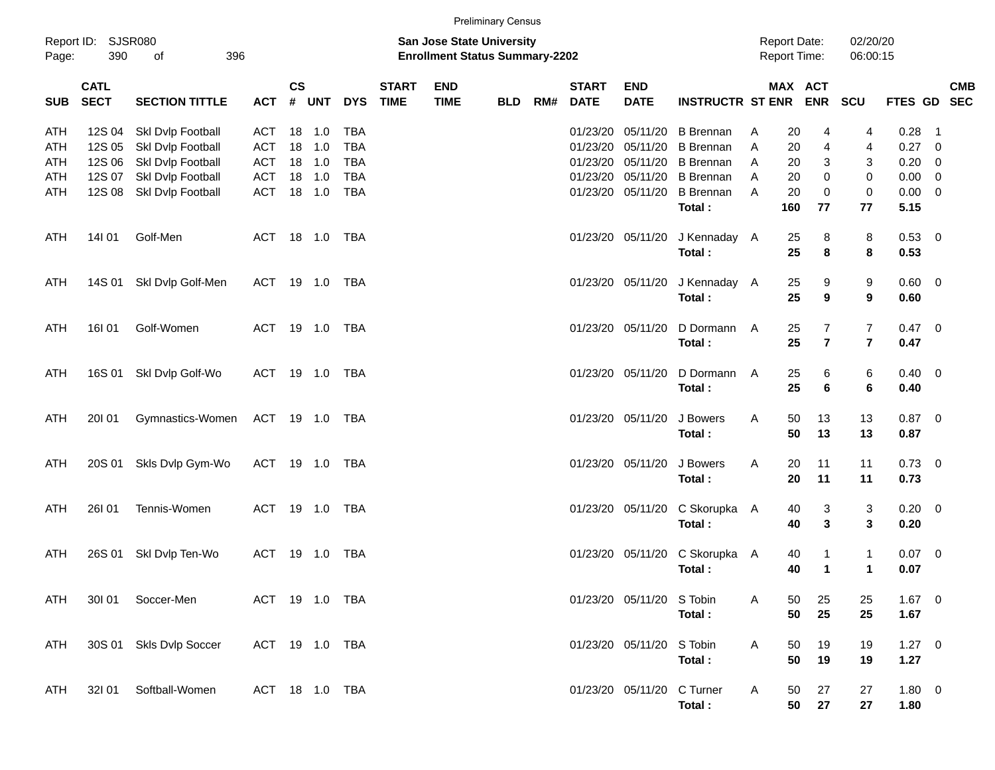Preliminary Census

| Page:      | Report ID: SJSR080<br>390  | 396<br>of                              |                |           |                  |                          |                             | San Jose State University<br><b>Enrollment Status Summary-2202</b> |            |     |                             |                               |                                          |        | <b>Report Date:</b><br><b>Report Time:</b> |                              | 02/20/20<br>06:00:15 |                    |                          |            |
|------------|----------------------------|----------------------------------------|----------------|-----------|------------------|--------------------------|-----------------------------|--------------------------------------------------------------------|------------|-----|-----------------------------|-------------------------------|------------------------------------------|--------|--------------------------------------------|------------------------------|----------------------|--------------------|--------------------------|------------|
| <b>SUB</b> | <b>CATL</b><br><b>SECT</b> | <b>SECTION TITTLE</b>                  |                | <b>CS</b> | ACT # UNT        | <b>DYS</b>               | <b>START</b><br><b>TIME</b> | <b>END</b><br><b>TIME</b>                                          | <b>BLD</b> | RM# | <b>START</b><br><b>DATE</b> | <b>END</b><br><b>DATE</b>     | INSTRUCTR ST ENR ENR SCU                 |        | MAX ACT                                    |                              |                      | FTES GD SEC        |                          | <b>CMB</b> |
| ATH<br>ATH | 12S 04<br>12S 05           | Skl Dvlp Football<br>Skl Dvlp Football | ACT<br>ACT     |           | 18 1.0<br>18 1.0 | <b>TBA</b><br><b>TBA</b> |                             |                                                                    |            |     | 01/23/20                    | 05/11/20<br>01/23/20 05/11/20 | <b>B</b> Brennan<br><b>B</b> Brennan     | A<br>A | 20<br>20                                   | 4<br>$\overline{\mathbf{4}}$ | 4<br>4               | 0.28<br>$0.27$ 0   | $\overline{\phantom{1}}$ |            |
| ATH        | 12S 06                     | Skl Dvlp Football                      | ACT            |           | 18 1.0           | <b>TBA</b>               |                             |                                                                    |            |     |                             | 01/23/20 05/11/20             | <b>B</b> Brennan                         | A      | 20                                         | 3                            | 3                    | $0.20 \ 0$         |                          |            |
| ATH        | 12S 07                     | Skl Dvlp Football                      | ACT            |           | 18 1.0           | <b>TBA</b>               |                             |                                                                    |            |     |                             | 01/23/20 05/11/20             | <b>B</b> Brennan                         | A      | 20                                         | $\mathbf 0$                  | $\mathbf 0$          | $0.00 \t 0$        |                          |            |
| ATH        | 12S 08                     | Skl Dvlp Football                      | <b>ACT</b>     |           | 18 1.0           | TBA                      |                             |                                                                    |            |     |                             | 01/23/20 05/11/20             | <b>B</b> Brennan                         | A      | 20                                         | $\mathbf 0$                  | $\mathbf 0$          | $0.00 \t 0$        |                          |            |
|            |                            |                                        |                |           |                  |                          |                             |                                                                    |            |     |                             |                               | Total:                                   |        | 160                                        | 77                           | 77                   | 5.15               |                          |            |
| ATH        | 14101                      | Golf-Men                               |                |           | ACT 18 1.0 TBA   |                          |                             |                                                                    |            |     |                             |                               | 01/23/20 05/11/20 J Kennaday A<br>Total: |        | 25<br>25                                   | 8<br>8                       | 8<br>8               | $0.53$ 0<br>0.53   |                          |            |
|            |                            |                                        |                |           |                  |                          |                             |                                                                    |            |     |                             |                               |                                          |        |                                            |                              |                      |                    |                          |            |
| ATH        |                            | 14S 01 Skl Dvlp Golf-Men               |                |           | ACT 19 1.0 TBA   |                          |                             |                                                                    |            |     |                             |                               | 01/23/20 05/11/20 J Kennaday A           |        | 25                                         | 9                            | 9                    | $0.60 \quad 0$     |                          |            |
|            |                            |                                        |                |           |                  |                          |                             |                                                                    |            |     |                             |                               | Total:                                   |        | 25                                         | 9                            | 9                    | 0.60               |                          |            |
| ATH        | 16I 01                     | Golf-Women                             |                |           | ACT 19 1.0 TBA   |                          |                             |                                                                    |            |     |                             | 01/23/20 05/11/20             | D Dormann A                              |        | 25                                         | 7                            | 7                    | $0.47 \quad 0$     |                          |            |
|            |                            |                                        |                |           |                  |                          |                             |                                                                    |            |     |                             |                               | Total:                                   |        | 25                                         | $\overline{7}$               | $\overline{7}$       | 0.47               |                          |            |
| ATH        |                            | 16S 01 SkI Dvlp Golf-Wo                |                |           | ACT 19 1.0 TBA   |                          |                             |                                                                    |            |     |                             | 01/23/20 05/11/20             | D Dormann A                              |        | 25                                         | 6                            | 6                    | $0.40 \quad 0$     |                          |            |
|            |                            |                                        |                |           |                  |                          |                             |                                                                    |            |     |                             |                               | Total:                                   |        | 25                                         | 6                            | 6                    | 0.40               |                          |            |
| ATH        | 20101                      | Gymnastics-Women ACT 19 1.0 TBA        |                |           |                  |                          |                             |                                                                    |            |     |                             | 01/23/20 05/11/20             | J Bowers                                 | A      | 50                                         | 13                           | 13                   | $0.87$ 0           |                          |            |
|            |                            |                                        |                |           |                  |                          |                             |                                                                    |            |     |                             |                               | Total:                                   |        | 50                                         | 13                           | 13                   | 0.87               |                          |            |
| ATH        |                            | 20S 01 Skls Dvlp Gym-Wo                |                |           | ACT 19 1.0 TBA   |                          |                             |                                                                    |            |     |                             | 01/23/20 05/11/20             | J Bowers                                 | Α      | 20                                         | 11                           | 11                   | $0.73 \quad 0$     |                          |            |
|            |                            |                                        |                |           |                  |                          |                             |                                                                    |            |     |                             |                               | Total:                                   |        | 20                                         | 11                           | 11                   | 0.73               |                          |            |
|            |                            |                                        |                |           |                  |                          |                             |                                                                    |            |     |                             |                               |                                          |        |                                            |                              |                      |                    |                          |            |
| ATH        | 26101                      | Tennis-Women                           |                |           | ACT 19 1.0 TBA   |                          |                             |                                                                    |            |     |                             |                               | 01/23/20 05/11/20 C Skorupka A<br>Total: |        | 40<br>40                                   | 3<br>3                       | 3<br>3               | $0.20 \ 0$<br>0.20 |                          |            |
|            |                            |                                        |                |           |                  |                          |                             |                                                                    |            |     |                             |                               |                                          |        |                                            |                              |                      |                    |                          |            |
| ATH        | 26S 01                     | Skl Dvlp Ten-Wo                        | ACT            |           | 19 1.0           | <b>TBA</b>               |                             |                                                                    |            |     |                             |                               | 01/23/20 05/11/20 C Skorupka A           |        | 40                                         | $\mathbf{1}$                 | $\mathbf{1}$         | $0.07$ 0           |                          |            |
|            |                            |                                        |                |           |                  |                          |                             |                                                                    |            |     |                             |                               | Total:                                   |        | 40                                         | $\mathbf{1}$                 | 1                    | 0.07               |                          |            |
| <b>ATH</b> | 30101                      | Soccer-Men                             |                |           | ACT 19 1.0 TBA   |                          |                             |                                                                    |            |     |                             | 01/23/20 05/11/20 S Tobin     |                                          | Α      | 50                                         | 25                           | 25                   | $1.67$ 0           |                          |            |
|            |                            |                                        |                |           |                  |                          |                             |                                                                    |            |     |                             |                               | Total:                                   |        | 50                                         | 25                           | 25                   | 1.67               |                          |            |
| ATH        |                            | 30S 01 Skls Dvlp Soccer                | ACT 19 1.0 TBA |           |                  |                          |                             |                                                                    |            |     |                             | 01/23/20 05/11/20 S Tobin     |                                          | A      | 50                                         | 19                           | 19                   | $1.27 \t 0$        |                          |            |
|            |                            |                                        |                |           |                  |                          |                             |                                                                    |            |     |                             |                               | Total:                                   |        | 50                                         | 19                           | 19                   | 1.27               |                          |            |
| ATH        | 32101                      | Softball-Women                         |                |           | ACT 18 1.0 TBA   |                          |                             |                                                                    |            |     |                             | 01/23/20 05/11/20 C Turner    |                                          |        |                                            |                              |                      | 1.80 0             |                          |            |
|            |                            |                                        |                |           |                  |                          |                             |                                                                    |            |     |                             |                               | Total:                                   | A      | 50<br>50                                   | 27<br>27                     | 27<br>27             | 1.80               |                          |            |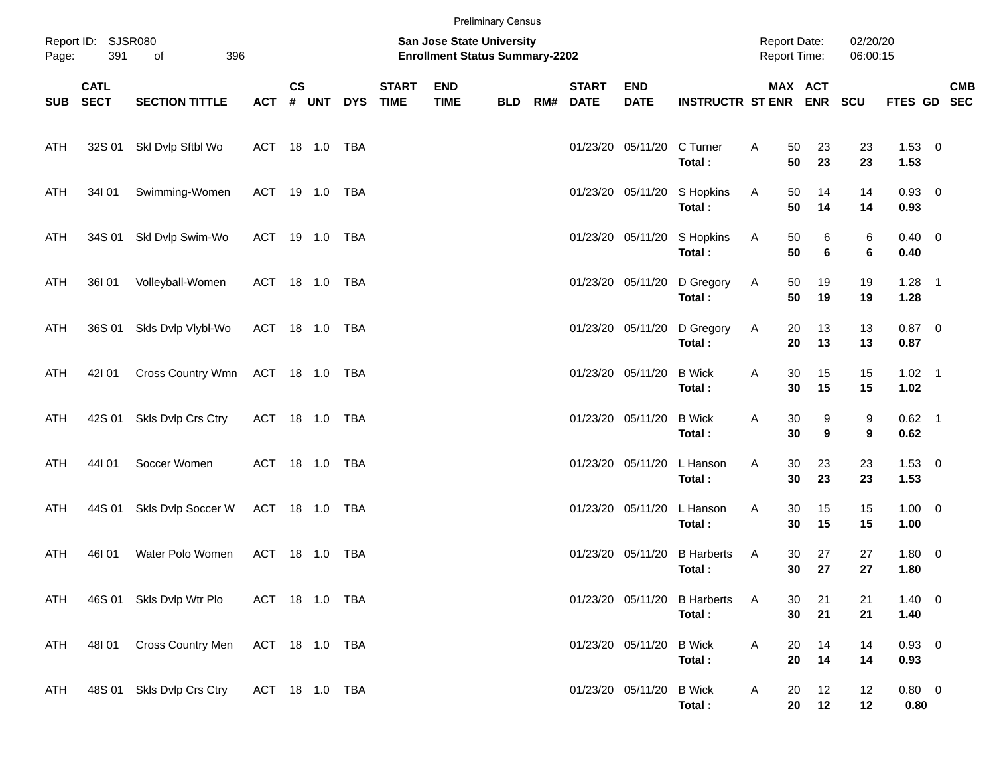|            |                            |                           |                |               |       |            |                             |                                                                    | <b>Preliminary Census</b> |     |                             |                           |                                        |   |                                     |          |                      |                        |            |
|------------|----------------------------|---------------------------|----------------|---------------|-------|------------|-----------------------------|--------------------------------------------------------------------|---------------------------|-----|-----------------------------|---------------------------|----------------------------------------|---|-------------------------------------|----------|----------------------|------------------------|------------|
| Page:      | Report ID: SJSR080<br>391  | 396<br>of                 |                |               |       |            |                             | San Jose State University<br><b>Enrollment Status Summary-2202</b> |                           |     |                             |                           |                                        |   | <b>Report Date:</b><br>Report Time: |          | 02/20/20<br>06:00:15 |                        |            |
| SUB        | <b>CATL</b><br><b>SECT</b> | <b>SECTION TITTLE</b>     | <b>ACT</b>     | $\mathsf{cs}$ | # UNT | <b>DYS</b> | <b>START</b><br><b>TIME</b> | <b>END</b><br><b>TIME</b>                                          | <b>BLD</b>                | RM# | <b>START</b><br><b>DATE</b> | <b>END</b><br><b>DATE</b> | <b>INSTRUCTR ST ENR ENR</b>            |   | MAX ACT                             |          | <b>SCU</b>           | FTES GD SEC            | <b>CMB</b> |
| ATH        |                            | 32S 01 SkI Dvlp Sftbl Wo  | ACT 18 1.0 TBA |               |       |            |                             |                                                                    |                           |     |                             | 01/23/20 05/11/20         | C Turner<br>Total:                     | Α | 50<br>50                            | 23<br>23 | 23<br>23             | $1.53 \t 0$<br>1.53    |            |
| ATH        | 34I 01                     | Swimming-Women            | ACT 19 1.0 TBA |               |       |            |                             |                                                                    |                           |     |                             | 01/23/20 05/11/20         | S Hopkins<br>Total:                    | A | 50<br>50                            | 14<br>14 | 14<br>14             | $0.93 \quad 0$<br>0.93 |            |
| ATH        | 34S 01                     | Skl Dvlp Swim-Wo          | ACT 19 1.0 TBA |               |       |            |                             |                                                                    |                           |     |                             | 01/23/20 05/11/20         | S Hopkins<br>Total:                    | A | 50<br>50                            | 6<br>6   | 6<br>6               | $0.40 \quad 0$<br>0.40 |            |
| ATH        | 36I 01                     | Volleyball-Women          | ACT 18 1.0 TBA |               |       |            |                             |                                                                    |                           |     |                             | 01/23/20 05/11/20         | D Gregory<br>Total:                    | A | 50<br>50                            | 19<br>19 | 19<br>19             | $1.28$ 1<br>1.28       |            |
| ATH        | 36S 01                     | Skls Dvlp Vlybl-Wo        | ACT 18 1.0 TBA |               |       |            |                             |                                                                    |                           |     |                             | 01/23/20 05/11/20         | D Gregory<br>Total:                    | A | 20<br>20                            | 13<br>13 | 13<br>13             | $0.87$ 0<br>0.87       |            |
| ATH        | 421 01                     | Cross Country Wmn         | ACT 18 1.0 TBA |               |       |            |                             |                                                                    |                           |     |                             | 01/23/20 05/11/20         | <b>B</b> Wick<br>Total:                | Α | 30<br>30                            | 15<br>15 | 15<br>15             | $1.02$ 1<br>1.02       |            |
| ATH        | 42S 01                     | Skls Dvlp Crs Ctry        | ACT 18 1.0 TBA |               |       |            |                             |                                                                    |                           |     |                             | 01/23/20 05/11/20         | <b>B</b> Wick<br>Total:                | Α | 30<br>30                            | 9<br>9   | 9<br>9               | $0.62$ 1<br>0.62       |            |
| ATH        | 44101                      | Soccer Women              | ACT 18 1.0 TBA |               |       |            |                             |                                                                    |                           |     |                             | 01/23/20 05/11/20         | L Hanson<br>Total:                     | Α | 30<br>30                            | 23<br>23 | 23<br>23             | $1.53 \t 0$<br>1.53    |            |
| ATH        | 44S 01                     | Skls Dvlp Soccer W        | ACT 18 1.0 TBA |               |       |            |                             |                                                                    |                           |     |                             | 01/23/20 05/11/20         | L Hanson<br>Total:                     | Α | 30<br>30                            | 15<br>15 | 15<br>15             | $1.00 \t 0$<br>1.00    |            |
| ATH        | 46I 01                     | Water Polo Women          | ACT            |               |       | TBA        |                             |                                                                    |                           |     | 01/23/20 05/11/20           |                           | <b>B</b> Harberts<br>Total:            | A | 30<br>30                            | 27<br>27 | 27<br>27             | 1.80 0<br>1.80         |            |
| ATH        |                            | 46S 01 Skls Dvlp Wtr Plo  | ACT 18 1.0 TBA |               |       |            |                             |                                                                    |                           |     |                             |                           | 01/23/20 05/11/20 B Harberts<br>Total: | A | 30<br>30                            | 21<br>21 | 21<br>21             | $1.40 \ 0$<br>1.40     |            |
| <b>ATH</b> | 48I 01                     | Cross Country Men         | ACT 18 1.0 TBA |               |       |            |                             |                                                                    |                           |     |                             | 01/23/20 05/11/20         | <b>B</b> Wick<br>Total:                | A | 20<br>20                            | 14<br>14 | 14<br>14             | 0.93 0<br>0.93         |            |
| ATH        |                            | 48S 01 Skls Dvlp Crs Ctry | ACT 18 1.0 TBA |               |       |            |                             |                                                                    |                           |     |                             | 01/23/20 05/11/20         | <b>B</b> Wick<br>Total:                | A | 20<br>20                            | 12<br>12 | 12<br>12             | 0.80 0<br>0.80         |            |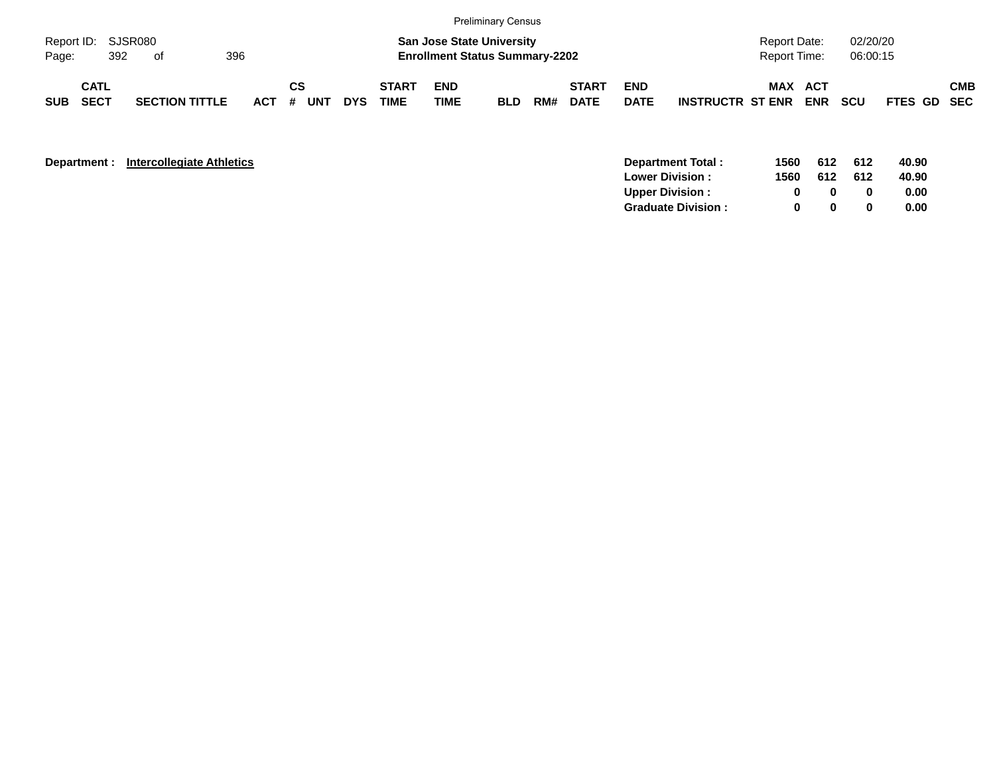|                             |                            |     |                       |     |         |    |     |            |                      |                           | <b>Preliminary Census</b>                                                 |     |                             |                           |                         |                                     |            |                      |             |            |
|-----------------------------|----------------------------|-----|-----------------------|-----|---------|----|-----|------------|----------------------|---------------------------|---------------------------------------------------------------------------|-----|-----------------------------|---------------------------|-------------------------|-------------------------------------|------------|----------------------|-------------|------------|
| Report ID: SJSR080<br>Page: |                            | 392 | of                    | 396 |         |    |     |            |                      |                           | <b>San Jose State University</b><br><b>Enrollment Status Summary-2202</b> |     |                             |                           |                         | <b>Report Date:</b><br>Report Time: |            | 02/20/20<br>06:00:15 |             |            |
| <b>SUB</b>                  | <b>CATL</b><br><b>SECT</b> |     | <b>SECTION TITTLE</b> |     | $ACT$ # | СS | UNT | <b>DYS</b> | <b>START</b><br>TIME | <b>END</b><br><b>TIME</b> | <b>BLD</b>                                                                | RM# | <b>START</b><br><b>DATE</b> | <b>END</b><br><b>DATE</b> | <b>INSTRUCTR ST ENR</b> | <b>MAX ACT</b>                      | <b>ENR</b> | <b>SCU</b>           | FTES GD SEC | <b>CMB</b> |

| Department : | <b>Intercollegiate Athletics</b> | 1560<br>Department Total: | 612 | 612 | 40.90 |
|--------------|----------------------------------|---------------------------|-----|-----|-------|
|              | <b>Lower Division:</b>           | 1560                      | 612 | 612 | 40.90 |
|              | <b>Upper Division:</b>           |                           |     |     | 0.00  |
|              |                                  | <b>Graduate Division:</b> |     |     | 0.00  |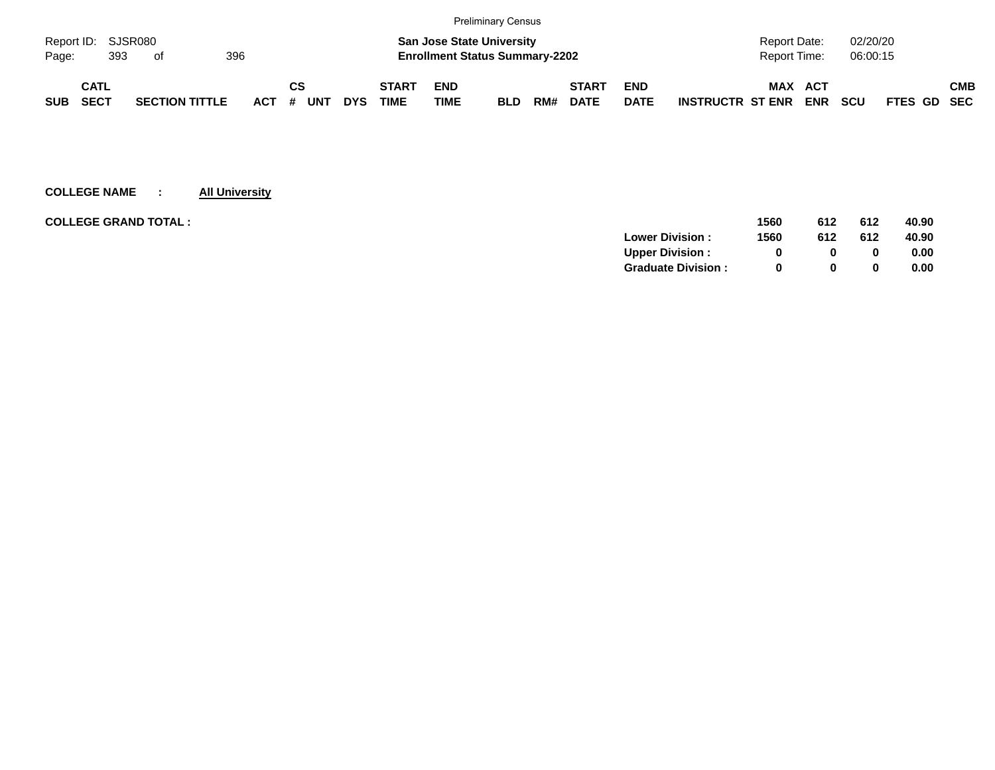|            |                    |                       |     |            |          |            |                                       |                                  | <b>Preliminary Census</b> |     |              |             |                         |              |            |            |             |            |
|------------|--------------------|-----------------------|-----|------------|----------|------------|---------------------------------------|----------------------------------|---------------------------|-----|--------------|-------------|-------------------------|--------------|------------|------------|-------------|------------|
|            | Report ID: SJSR080 |                       |     |            |          |            |                                       | <b>San Jose State University</b> |                           |     |              |             |                         | Report Date: |            | 02/20/20   |             |            |
| Page:      | 393                | of                    | 396 |            |          |            | <b>Enrollment Status Summary-2202</b> |                                  |                           |     |              |             | Report Time:            |              | 06:00:15   |            |             |            |
|            | CATL               |                       |     |            | СS       |            | <b>START</b>                          | <b>END</b>                       |                           |     | <b>START</b> | <b>END</b>  |                         | MAX          | ACT        |            |             | <b>CMB</b> |
| <b>SUB</b> | <b>SECT</b>        | <b>SECTION TITTLE</b> |     | <b>ACT</b> | UNT<br># | <b>DYS</b> | <b>TIME</b>                           | <b>TIME</b>                      | <b>BLD</b>                | RM# | <b>DATE</b>  | <b>DATE</b> | <b>INSTRUCTR ST ENR</b> |              | <b>ENR</b> | <b>SCU</b> | FTES GD SEC |            |

| <b>COLLEGE GRAND TOTAL :</b> | 1560 | 612          | 612 | 40.90 |
|------------------------------|------|--------------|-----|-------|
| <b>Lower Division:</b>       | 1560 | 612          | 612 | 40.90 |
| <b>Upper Division:</b>       | 0    |              |     | 0.00  |
| <b>Graduate Division:</b>    | 0    | <sup>0</sup> |     | 0.00  |
|                              |      |              |     |       |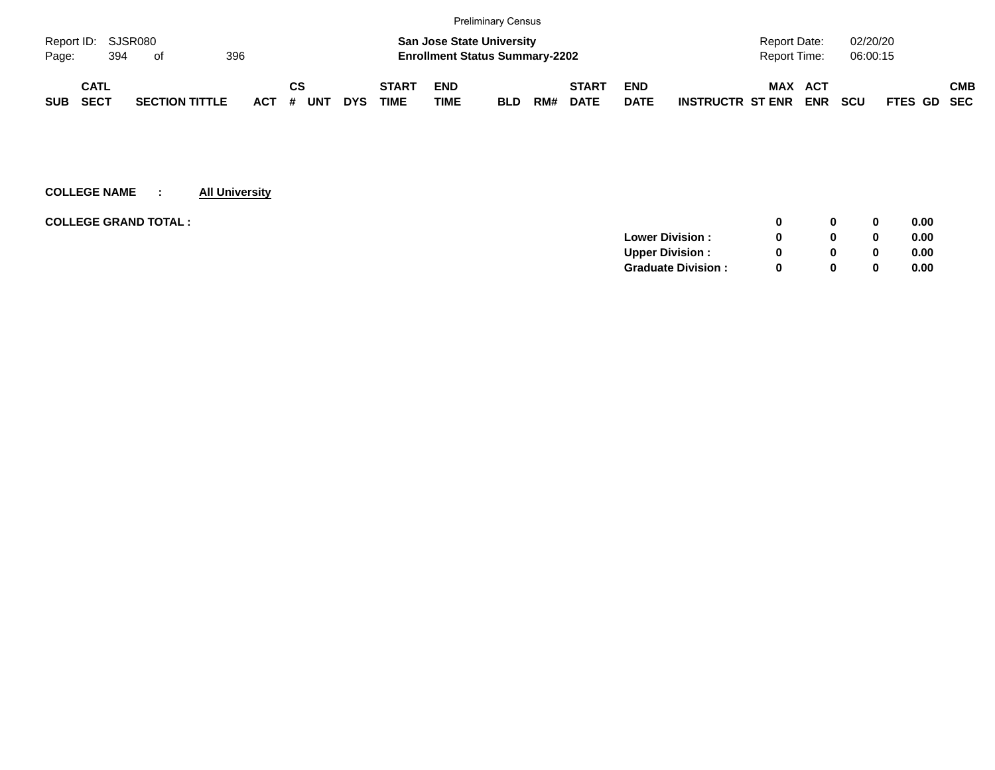|                             |                    |                       |  |            |    |     |            |                                       |                                  | <b>Preliminary Census</b> |     |              |             |                         |                |            |            |                    |            |
|-----------------------------|--------------------|-----------------------|--|------------|----|-----|------------|---------------------------------------|----------------------------------|---------------------------|-----|--------------|-------------|-------------------------|----------------|------------|------------|--------------------|------------|
|                             | Report ID: SJSR080 |                       |  |            |    |     |            |                                       | <b>San Jose State University</b> |                           |     |              |             |                         | Report Date:   |            | 02/20/20   |                    |            |
| 396<br>394<br>Page:<br>- of |                    |                       |  |            |    |     |            | <b>Enrollment Status Summary-2202</b> |                                  |                           |     |              |             | Report Time:            |                | 06:00:15   |            |                    |            |
|                             | CATL               |                       |  |            | СS |     |            | <b>START</b>                          | <b>END</b>                       |                           |     | <b>START</b> | <b>END</b>  |                         | <b>MAX ACT</b> |            |            |                    | <b>CMB</b> |
| <b>SUB</b>                  | SECT               | <b>SECTION TITTLE</b> |  | <b>ACT</b> | #  | UNT | <b>DYS</b> | <b>TIME</b>                           | <b>TIME</b>                      | <b>BLD</b>                | RM# | <b>DATE</b>  | <b>DATE</b> | <b>INSTRUCTR ST ENR</b> |                | <b>ENR</b> | <b>SCU</b> | <b>FTES GD SEC</b> |            |

|              | 0 | 0.00 |
|--------------|---|------|
|              | 0 | 0.00 |
| <sup>0</sup> | 0 | 0.00 |
| $\Omega$     | 0 | 0.00 |
|              |   |      |